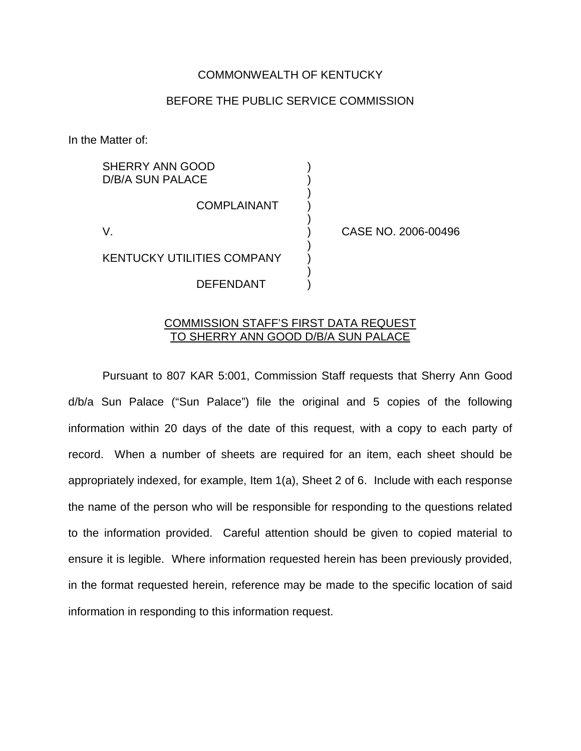## COMMONWEALTH OF KENTUCKY

## BEFORE THE PUBLIC SERVICE COMMISSION

)

)

)

)

In the Matter of:

SHERRY ANN GOOD D/B/A SUN PALACE

**COMPLAINANT** 

KENTUCKY UTILITIES COMPANY )

DEFENDANT )

V. ) CASE NO. 2006-00496

## COMMISSION STAFF'S FIRST DATA REQUEST TO SHERRY ANN GOOD D/B/A SUN PALACE

Pursuant to 807 KAR 5:001, Commission Staff requests that Sherry Ann Good d/b/a Sun Palace ("Sun Palace") file the original and 5 copies of the following information within 20 days of the date of this request, with a copy to each party of record. When a number of sheets are required for an item, each sheet should be appropriately indexed, for example, Item 1(a), Sheet 2 of 6. Include with each response the name of the person who will be responsible for responding to the questions related to the information provided. Careful attention should be given to copied material to ensure it is legible. Where information requested herein has been previously provided, in the format requested herein, reference may be made to the specific location of said information in responding to this information request.